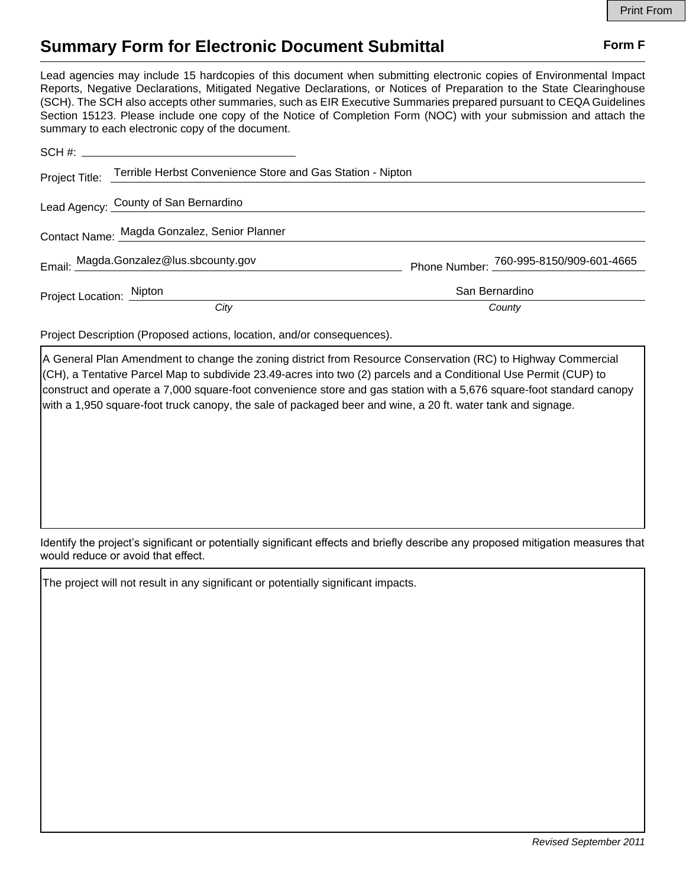## **Summary Form for Electronic Document Submittal Form F Form F**

Lead agencies may include 15 hardcopies of this document when submitting electronic copies of Environmental Impact Reports, Negative Declarations, Mitigated Negative Declarations, or Notices of Preparation to the State Clearinghouse (SCH). The SCH also accepts other summaries, such as EIR Executive Summaries prepared pursuant to CEQA Guidelines Section 15123. Please include one copy of the Notice of Completion Form (NOC) with your submission and attach the summary to each electronic copy of the document.

|                          | Project Title: Terrible Herbst Convenience Store and Gas Station - Nipton |                |                                         |
|--------------------------|---------------------------------------------------------------------------|----------------|-----------------------------------------|
|                          | Lead Agency: County of San Bernardino                                     |                |                                         |
|                          | Contact Name: Magda Gonzalez, Senior Planner                              |                |                                         |
|                          | Email: Magda.Gonzalez@lus.sbcounty.gov                                    |                | Phone Number: 760-995-8150/909-601-4665 |
| Project Location: Nipton |                                                                           | San Bernardino |                                         |
|                          | City                                                                      | County         |                                         |

Project Description (Proposed actions, location, and/or consequences).

A General Plan Amendment to change the zoning district from Resource Conservation (RC) to Highway Commercial (CH), a Tentative Parcel Map to subdivide 23.49-acres into two (2) parcels and a Conditional Use Permit (CUP) to construct and operate a 7,000 square-foot convenience store and gas station with a 5,676 square-foot standard canopy with a 1,950 square-foot truck canopy, the sale of packaged beer and wine, a 20 ft. water tank and signage.

Identify the project's significant or potentially significant effects and briefly describe any proposed mitigation measures that would reduce or avoid that effect.

The project will not result in any significant or potentially significant impacts.